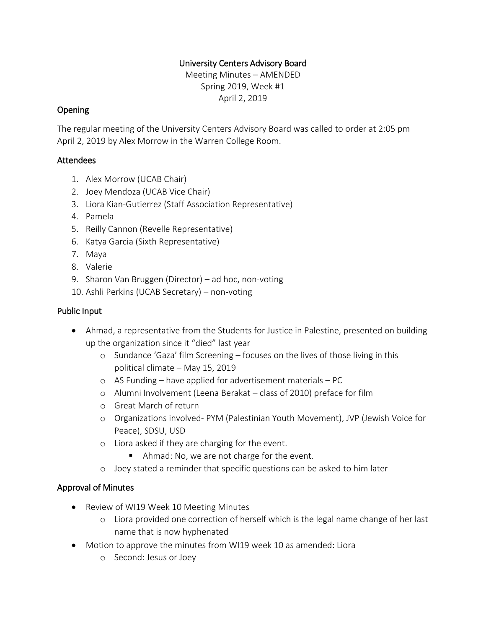### University Centers Advisory Board

Meeting Minutes – AMENDED Spring 2019, Week #1 April 2, 2019

### Opening

The regular meeting of the University Centers Advisory Board was called to order at 2:05 pm April 2, 2019 by Alex Morrow in the Warren College Room.

### Attendees

- 1. Alex Morrow (UCAB Chair)
- 2. Joey Mendoza (UCAB Vice Chair)
- 3. Liora Kian-Gutierrez (Staff Association Representative)
- 4. Pamela
- 5. Reilly Cannon (Revelle Representative)
- 6. Katya Garcia (Sixth Representative)
- 7. Maya
- 8. Valerie
- 9. Sharon Van Bruggen (Director) ad hoc, non-voting
- 10. Ashli Perkins (UCAB Secretary) non-voting

### Public Input

- Ahmad, a representative from the Students for Justice in Palestine, presented on building up the organization since it "died" last year
	- o Sundance 'Gaza' film Screening focuses on the lives of those living in this political climate – May 15, 2019
	- o AS Funding have applied for advertisement materials PC
	- o Alumni Involvement (Leena Berakat class of 2010) preface for film
	- o Great March of return
	- o Organizations involved- PYM (Palestinian Youth Movement), JVP (Jewish Voice for Peace), SDSU, USD
	- o Liora asked if they are charging for the event.
		- Ahmad: No, we are not charge for the event.
	- o Joey stated a reminder that specific questions can be asked to him later

### Approval of Minutes

- Review of WI19 Week 10 Meeting Minutes
	- o Liora provided one correction of herself which is the legal name change of her last name that is now hyphenated
- Motion to approve the minutes from WI19 week 10 as amended: Liora
	- o Second: Jesus or Joey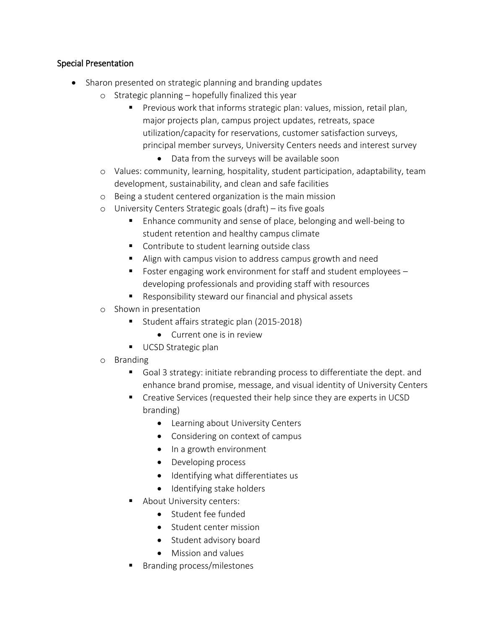### Special Presentation

- Sharon presented on strategic planning and branding updates
	- o Strategic planning hopefully finalized this year
		- Previous work that informs strategic plan: values, mission, retail plan, major projects plan, campus project updates, retreats, space utilization/capacity for reservations, customer satisfaction surveys, principal member surveys, University Centers needs and interest survey
			- Data from the surveys will be available soon
	- o Values: community, learning, hospitality, student participation, adaptability, team development, sustainability, and clean and safe facilities
	- o Being a student centered organization is the main mission
	- o University Centers Strategic goals (draft) its five goals
		- Enhance community and sense of place, belonging and well-being to student retention and healthy campus climate
		- Contribute to student learning outside class
		- Align with campus vision to address campus growth and need
		- Foster engaging work environment for staff and student employees developing professionals and providing staff with resources
		- Responsibility steward our financial and physical assets
	- o Shown in presentation
		- Student affairs strategic plan (2015-2018)
			- Current one is in review
		- UCSD Strategic plan
	- o Branding
		- Goal 3 strategy: initiate rebranding process to differentiate the dept. and enhance brand promise, message, and visual identity of University Centers
		- Creative Services (requested their help since they are experts in UCSD branding)
			- Learning about University Centers
			- Considering on context of campus
			- In a growth environment
			- Developing process
			- Identifying what differentiates us
			- Identifying stake holders
		- About University centers:
			- Student fee funded
			- Student center mission
			- Student advisory board
			- Mission and values
		- Branding process/milestones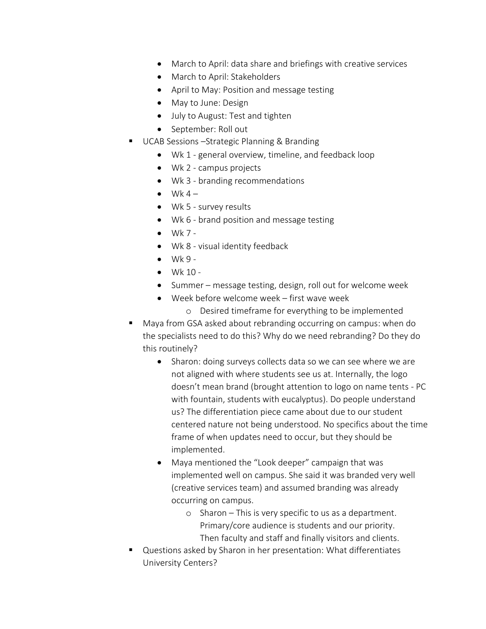- March to April: data share and briefings with creative services
- March to April: Stakeholders
- April to May: Position and message testing
- May to June: Design
- July to August: Test and tighten
- September: Roll out
- UCAB Sessions –Strategic Planning & Branding
	- Wk 1 general overview, timeline, and feedback loop
		- Wk 2 campus projects
		- Wk 3 branding recommendations
	- $\bullet$  Wk 4 –
	- Wk 5 survey results
	- Wk 6 brand position and message testing
	- $\bullet$  Wk 7 -
	- Wk 8 visual identity feedback
	- $\bullet$  Wk 9 -
	- $\bullet$  Wk 10 -
	- Summer message testing, design, roll out for welcome week
	- Week before welcome week first wave week
		- o Desired timeframe for everything to be implemented
- Maya from GSA asked about rebranding occurring on campus: when do the specialists need to do this? Why do we need rebranding? Do they do this routinely?
	- Sharon: doing surveys collects data so we can see where we are not aligned with where students see us at. Internally, the logo doesn't mean brand (brought attention to logo on name tents - PC with fountain, students with eucalyptus). Do people understand us? The differentiation piece came about due to our student centered nature not being understood. No specifics about the time frame of when updates need to occur, but they should be implemented.
	- Maya mentioned the "Look deeper" campaign that was implemented well on campus. She said it was branded very well (creative services team) and assumed branding was already occurring on campus.
		- o Sharon This is very specific to us as a department. Primary/core audience is students and our priority. Then faculty and staff and finally visitors and clients.
- Questions asked by Sharon in her presentation: What differentiates University Centers?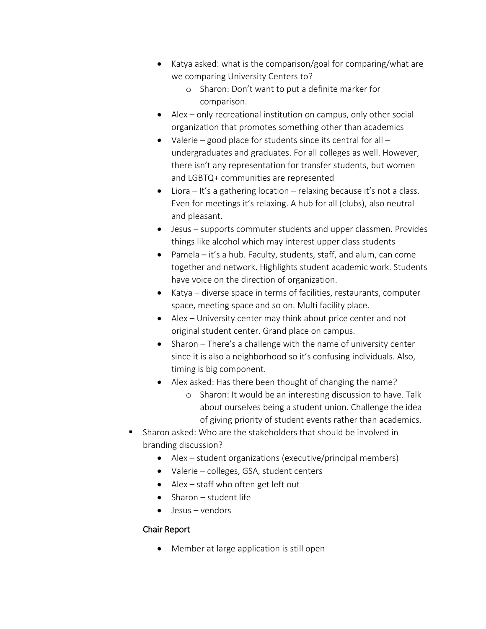- Katya asked: what is the comparison/goal for comparing/what are we comparing University Centers to?
	- o Sharon: Don't want to put a definite marker for comparison.
- Alex only recreational institution on campus, only other social organization that promotes something other than academics
- Valerie good place for students since its central for all undergraduates and graduates. For all colleges as well. However, there isn't any representation for transfer students, but women and LGBTQ+ communities are represented
- $\bullet$  Liora It's a gathering location relaxing because it's not a class. Even for meetings it's relaxing. A hub for all (clubs), also neutral and pleasant.
- Jesus supports commuter students and upper classmen. Provides things like alcohol which may interest upper class students
- Pamela it's a hub. Faculty, students, staff, and alum, can come together and network. Highlights student academic work. Students have voice on the direction of organization.
- Katya diverse space in terms of facilities, restaurants, computer space, meeting space and so on. Multi facility place.
- Alex University center may think about price center and not original student center. Grand place on campus.
- Sharon There's a challenge with the name of university center since it is also a neighborhood so it's confusing individuals. Also, timing is big component.
- Alex asked: Has there been thought of changing the name?
	- o Sharon: It would be an interesting discussion to have. Talk about ourselves being a student union. Challenge the idea of giving priority of student events rather than academics.
- Sharon asked: Who are the stakeholders that should be involved in branding discussion?
	- Alex student organizations (executive/principal members)
	- Valerie colleges, GSA, student centers
	- Alex staff who often get left out
	- Sharon student life
	- Jesus vendors

# Chair Report

• Member at large application is still open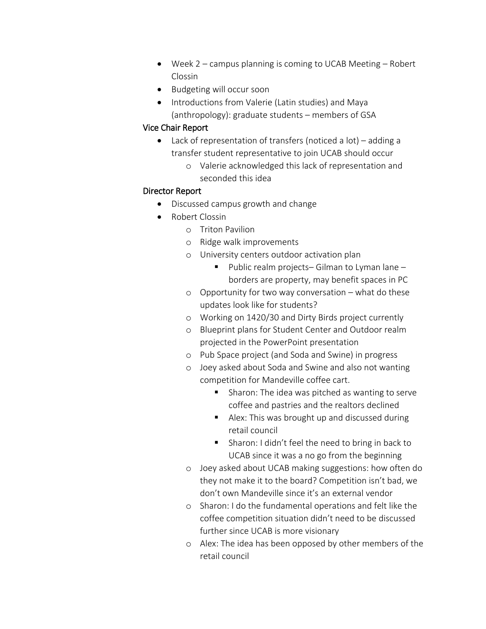- Week 2 campus planning is coming to UCAB Meeting Robert Clossin
- Budgeting will occur soon
- Introductions from Valerie (Latin studies) and Maya (anthropology): graduate students – members of GSA

### Vice Chair Report

- Lack of representation of transfers (noticed a lot) adding a transfer student representative to join UCAB should occur
	- o Valerie acknowledged this lack of representation and seconded this idea

### Director Report

- Discussed campus growth and change
- Robert Clossin
	- o Triton Pavilion
	- o Ridge walk improvements
	- o University centers outdoor activation plan
		- Public realm projects– Gilman to Lyman lane borders are property, may benefit spaces in PC
	- o Opportunity for two way conversation what do these updates look like for students?
	- o Working on 1420/30 and Dirty Birds project currently
	- o Blueprint plans for Student Center and Outdoor realm projected in the PowerPoint presentation
	- o Pub Space project (and Soda and Swine) in progress
	- o Joey asked about Soda and Swine and also not wanting competition for Mandeville coffee cart.
		- Sharon: The idea was pitched as wanting to serve coffee and pastries and the realtors declined
		- Alex: This was brought up and discussed during retail council
		- Sharon: I didn't feel the need to bring in back to UCAB since it was a no go from the beginning
	- o Joey asked about UCAB making suggestions: how often do they not make it to the board? Competition isn't bad, we don't own Mandeville since it's an external vendor
	- o Sharon: I do the fundamental operations and felt like the coffee competition situation didn't need to be discussed further since UCAB is more visionary
	- o Alex: The idea has been opposed by other members of the retail council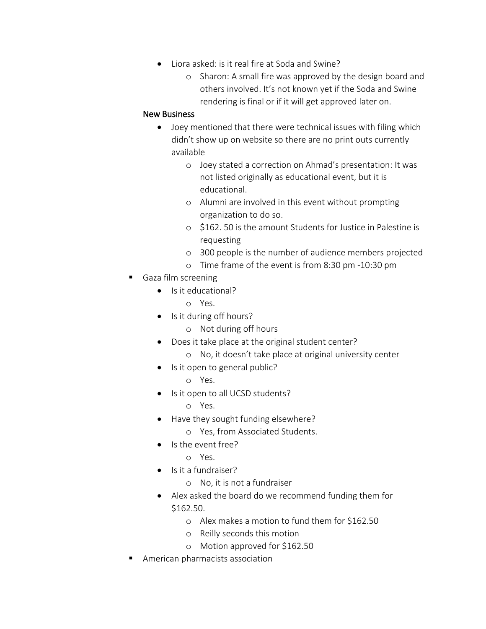- Liora asked: is it real fire at Soda and Swine?
	- o Sharon: A small fire was approved by the design board and others involved. It's not known yet if the Soda and Swine rendering is final or if it will get approved later on.

#### New Business

- Joey mentioned that there were technical issues with filing which didn't show up on website so there are no print outs currently available
	- o Joey stated a correction on Ahmad's presentation: It was not listed originally as educational event, but it is educational.
	- o Alumni are involved in this event without prompting organization to do so.
	- o \$162. 50 is the amount Students for Justice in Palestine is requesting
	- o 300 people is the number of audience members projected
	- o Time frame of the event is from 8:30 pm -10:30 pm
- Gaza film screening
	- Is it educational?
		- o Yes.
	- Is it during off hours?
		- o Not during off hours
	- Does it take place at the original student center?
		- o No, it doesn't take place at original university center
	- Is it open to general public?
		- o Yes.
	- Is it open to all UCSD students?
		- o Yes.
	- Have they sought funding elsewhere?
		- o Yes, from Associated Students.
	- Is the event free?
		- o Yes.
	- Is it a fundraiser?
		- o No, it is not a fundraiser
	- Alex asked the board do we recommend funding them for \$162.50.
		- o Alex makes a motion to fund them for \$162.50
		- o Reilly seconds this motion
		- o Motion approved for \$162.50
- American pharmacists association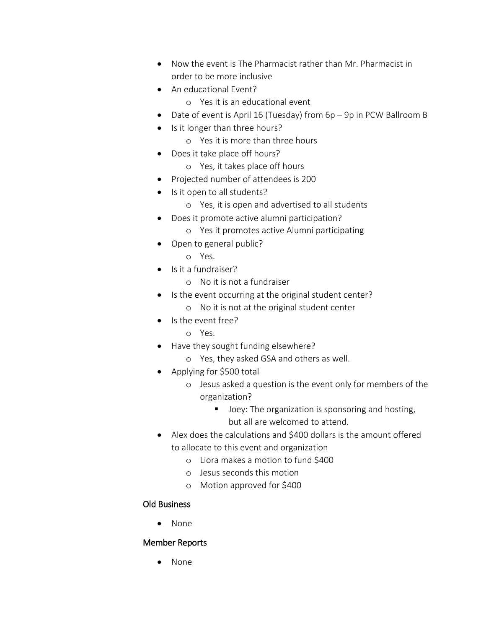- Now the event is The Pharmacist rather than Mr. Pharmacist in order to be more inclusive
- An educational Event?
	- o Yes it is an educational event
- Date of event is April 16 (Tuesday) from 6p 9p in PCW Ballroom B
- Is it longer than three hours?
	- o Yes it is more than three hours
- Does it take place off hours?
	- o Yes, it takes place off hours
- Projected number of attendees is 200
- Is it open to all students?
	- o Yes, it is open and advertised to all students
- Does it promote active alumni participation?
	- o Yes it promotes active Alumni participating
- Open to general public?
	- o Yes.
- Is it a fundraiser?
	- o No it is not a fundraiser
- Is the event occurring at the original student center?
	- o No it is not at the original student center
- Is the event free?
	- o Yes.
- Have they sought funding elsewhere?
	- o Yes, they asked GSA and others as well.
- Applying for \$500 total
	- o Jesus asked a question is the event only for members of the organization?
		- Joey: The organization is sponsoring and hosting, but all are welcomed to attend.
- Alex does the calculations and \$400 dollars is the amount offered to allocate to this event and organization
	- o Liora makes a motion to fund \$400
	- o Jesus seconds this motion
	- o Motion approved for \$400

## Old Business

• None

### Member Reports

• None